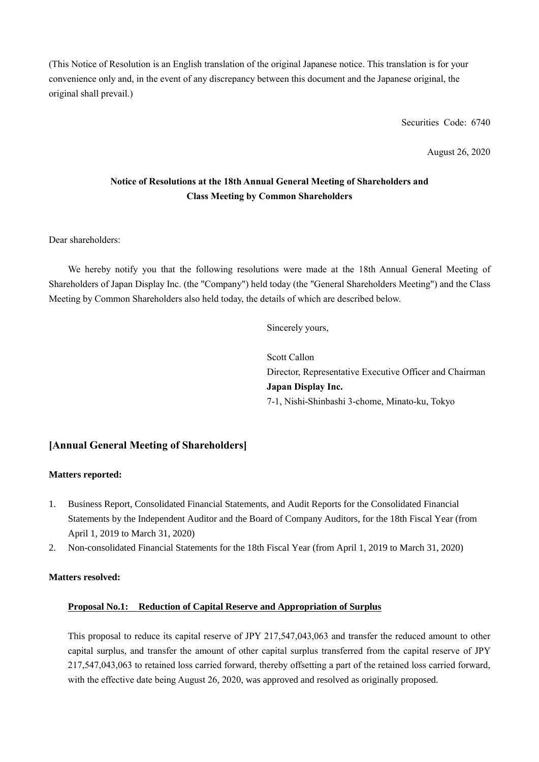(This Notice of Resolution is an English translation of the original Japanese notice. This translation is for your convenience only and, in the event of any discrepancy between this document and the Japanese original, the original shall prevail.)

Securities Code: 6740

August 26, 2020

## **Notice of Resolutions at the 18th Annual General Meeting of Shareholders and Class Meeting by Common Shareholders**

Dear shareholders:

We hereby notify you that the following resolutions were made at the 18th Annual General Meeting of Shareholders of Japan Display Inc. (the "Company") held today (the "General Shareholders Meeting") and the Class Meeting by Common Shareholders also held today, the details of which are described below.

Sincerely yours,

Scott Callon Director, Representative Executive Officer and Chairman **Japan Display Inc.** 7-1, Nishi-Shinbashi 3-chome, Minato-ku, Tokyo

### **[Annual General Meeting of Shareholders]**

#### **Matters reported:**

- 1. Business Report, Consolidated Financial Statements, and Audit Reports for the Consolidated Financial Statements by the Independent Auditor and the Board of Company Auditors, for the 18th Fiscal Year (from April 1, 2019 to March 31, 2020)
- 2. Non-consolidated Financial Statements for the 18th Fiscal Year (from April 1, 2019 to March 31, 2020)

#### **Matters resolved:**

#### **Proposal No.1: Reduction of Capital Reserve and Appropriation of Surplus**

This proposal to reduce its capital reserve of JPY 217,547,043,063 and transfer the reduced amount to other capital surplus, and transfer the amount of other capital surplus transferred from the capital reserve of JPY 217,547,043,063 to retained loss carried forward, thereby offsetting a part of the retained loss carried forward, with the effective date being August 26, 2020, was approved and resolved as originally proposed.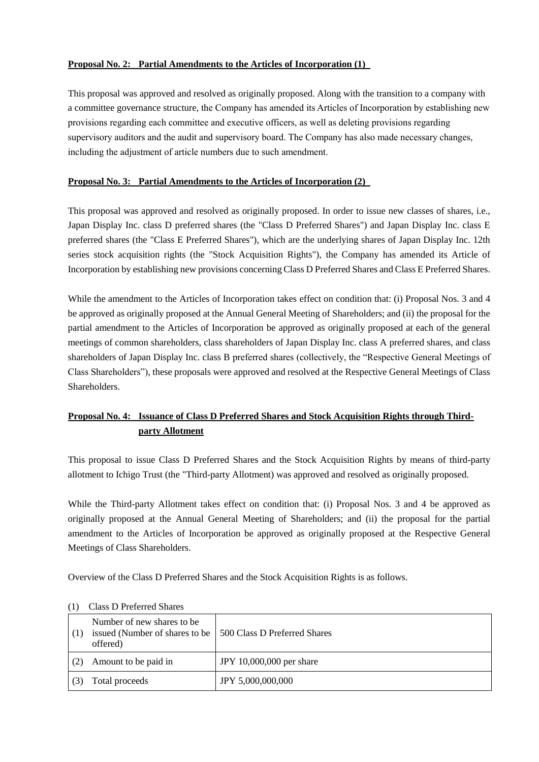### **Proposal No. 2: Partial Amendments to the Articles of Incorporation (1)**

This proposal was approved and resolved as originally proposed. Along with the transition to a company with a committee governance structure, the Company has amended its Articles of Incorporation by establishing new provisions regarding each committee and executive officers, as well as deleting provisions regarding supervisory auditors and the audit and supervisory board. The Company has also made necessary changes, including the adjustment of article numbers due to such amendment.

### **Proposal No. 3: Partial Amendments to the Articles of Incorporation (2)**

This proposal was approved and resolved as originally proposed. In order to issue new classes of shares, i.e., Japan Display Inc. class D preferred shares (the "Class D Preferred Shares") and Japan Display Inc. class E preferred shares (the "Class E Preferred Shares"), which are the underlying shares of Japan Display Inc. 12th series stock acquisition rights (the "Stock Acquisition Rights"), the Company has amended its Article of Incorporation by establishing new provisions concerning Class D Preferred Shares and Class E Preferred Shares.

While the amendment to the Articles of Incorporation takes effect on condition that: (i) Proposal Nos. 3 and 4 be approved as originally proposed at the Annual General Meeting of Shareholders; and (ii) the proposal for the partial amendment to the Articles of Incorporation be approved as originally proposed at each of the general meetings of common shareholders, class shareholders of Japan Display Inc. class A preferred shares, and class shareholders of Japan Display Inc. class B preferred shares (collectively, the "Respective General Meetings of Class Shareholders"), these proposals were approved and resolved at the Respective General Meetings of Class Shareholders.

# **Proposal No. 4: Issuance of Class D Preferred Shares and Stock Acquisition Rights through Thirdparty Allotment**

This proposal to issue Class D Preferred Shares and the Stock Acquisition Rights by means of third-party allotment to Ichigo Trust (the "Third-party Allotment) was approved and resolved as originally proposed.

While the Third-party Allotment takes effect on condition that: (i) Proposal Nos. 3 and 4 be approved as originally proposed at the Annual General Meeting of Shareholders; and (ii) the proposal for the partial amendment to the Articles of Incorporation be approved as originally proposed at the Respective General Meetings of Class Shareholders.

Overview of the Class D Preferred Shares and the Stock Acquisition Rights is as follows.

| (1) | Number of new shares to be<br>issued (Number of shares to be<br>offered) | 500 Class D Preferred Shares |
|-----|--------------------------------------------------------------------------|------------------------------|
|     | Amount to be paid in                                                     | JPY 10,000,000 per share     |
|     | Total proceeds                                                           | JPY 5,000,000,000            |

#### (1) Class D Preferred Shares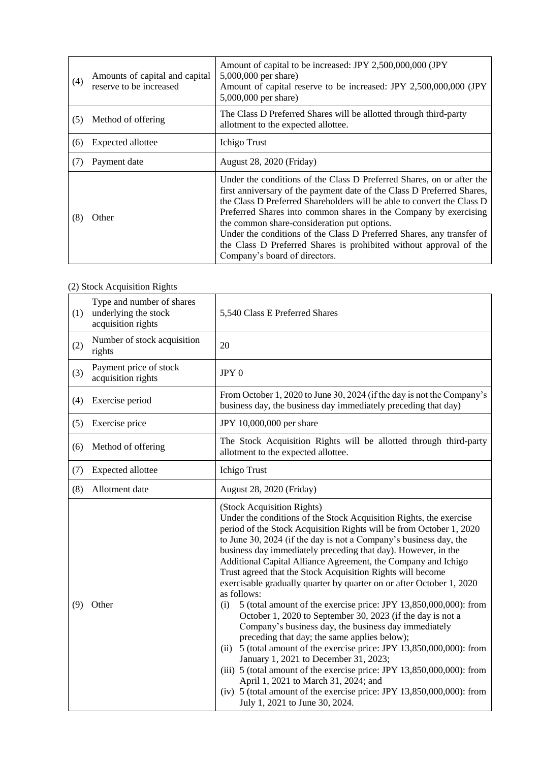| (4) | Amounts of capital and capital<br>reserve to be increased | Amount of capital to be increased: JPY 2,500,000,000 (JPY<br>$5,000,000$ per share)<br>Amount of capital reserve to be increased: JPY 2,500,000,000 (JPY<br>5,000,000 per share)                                                                                                                                                                                                                                                                                                                                             |
|-----|-----------------------------------------------------------|------------------------------------------------------------------------------------------------------------------------------------------------------------------------------------------------------------------------------------------------------------------------------------------------------------------------------------------------------------------------------------------------------------------------------------------------------------------------------------------------------------------------------|
| (5) | Method of offering                                        | The Class D Preferred Shares will be allotted through third-party<br>allotment to the expected allottee.                                                                                                                                                                                                                                                                                                                                                                                                                     |
| (6) | Expected allottee                                         | Ichigo Trust                                                                                                                                                                                                                                                                                                                                                                                                                                                                                                                 |
| (7) | Payment date                                              | August 28, 2020 (Friday)                                                                                                                                                                                                                                                                                                                                                                                                                                                                                                     |
| (8) | Other                                                     | Under the conditions of the Class D Preferred Shares, on or after the<br>first anniversary of the payment date of the Class D Preferred Shares,<br>the Class D Preferred Shareholders will be able to convert the Class D<br>Preferred Shares into common shares in the Company by exercising<br>the common share-consideration put options.<br>Under the conditions of the Class D Preferred Shares, any transfer of<br>the Class D Preferred Shares is prohibited without approval of the<br>Company's board of directors. |

# (2) Stock Acquisition Rights

| (1) | Type and number of shares<br>underlying the stock<br>acquisition rights | 5,540 Class E Preferred Shares                                                                                                                                                                                                                                                                                                                                                                                                                                                                                                                                                                                                                                                                                                                                                                                                                                                                                                                                                                                                                                                                                                             |
|-----|-------------------------------------------------------------------------|--------------------------------------------------------------------------------------------------------------------------------------------------------------------------------------------------------------------------------------------------------------------------------------------------------------------------------------------------------------------------------------------------------------------------------------------------------------------------------------------------------------------------------------------------------------------------------------------------------------------------------------------------------------------------------------------------------------------------------------------------------------------------------------------------------------------------------------------------------------------------------------------------------------------------------------------------------------------------------------------------------------------------------------------------------------------------------------------------------------------------------------------|
| (2) | Number of stock acquisition<br>rights                                   | 20                                                                                                                                                                                                                                                                                                                                                                                                                                                                                                                                                                                                                                                                                                                                                                                                                                                                                                                                                                                                                                                                                                                                         |
| (3) | Payment price of stock<br>acquisition rights                            | JPY 0                                                                                                                                                                                                                                                                                                                                                                                                                                                                                                                                                                                                                                                                                                                                                                                                                                                                                                                                                                                                                                                                                                                                      |
| (4) | Exercise period                                                         | From October 1, 2020 to June 30, 2024 (if the day is not the Company's<br>business day, the business day immediately preceding that day)                                                                                                                                                                                                                                                                                                                                                                                                                                                                                                                                                                                                                                                                                                                                                                                                                                                                                                                                                                                                   |
| (5) | Exercise price                                                          | JPY 10,000,000 per share                                                                                                                                                                                                                                                                                                                                                                                                                                                                                                                                                                                                                                                                                                                                                                                                                                                                                                                                                                                                                                                                                                                   |
| (6) | Method of offering                                                      | The Stock Acquisition Rights will be allotted through third-party<br>allotment to the expected allottee.                                                                                                                                                                                                                                                                                                                                                                                                                                                                                                                                                                                                                                                                                                                                                                                                                                                                                                                                                                                                                                   |
| (7) | Expected allottee                                                       | Ichigo Trust                                                                                                                                                                                                                                                                                                                                                                                                                                                                                                                                                                                                                                                                                                                                                                                                                                                                                                                                                                                                                                                                                                                               |
| (8) | Allotment date                                                          | August 28, 2020 (Friday)                                                                                                                                                                                                                                                                                                                                                                                                                                                                                                                                                                                                                                                                                                                                                                                                                                                                                                                                                                                                                                                                                                                   |
| (9) | Other                                                                   | (Stock Acquisition Rights)<br>Under the conditions of the Stock Acquisition Rights, the exercise<br>period of the Stock Acquisition Rights will be from October 1, 2020<br>to June 30, 2024 (if the day is not a Company's business day, the<br>business day immediately preceding that day). However, in the<br>Additional Capital Alliance Agreement, the Company and Ichigo<br>Trust agreed that the Stock Acquisition Rights will become<br>exercisable gradually quarter by quarter on or after October 1, 2020<br>as follows:<br>5 (total amount of the exercise price: JPY 13,850,000,000): from<br>(i)<br>October 1, 2020 to September 30, 2023 (if the day is not a<br>Company's business day, the business day immediately<br>preceding that day; the same applies below);<br>5 (total amount of the exercise price: JPY 13,850,000,000): from<br>(ii)<br>January 1, 2021 to December 31, 2023;<br>(iii) $5$ (total amount of the exercise price: JPY 13,850,000,000): from<br>April 1, 2021 to March 31, 2024; and<br>(iv) $5$ (total amount of the exercise price: JPY 13,850,000,000): from<br>July 1, 2021 to June 30, 2024. |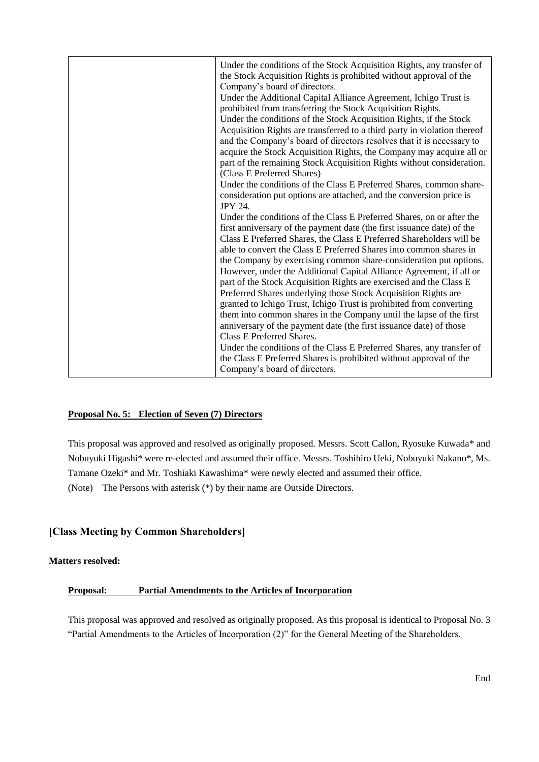| Under the conditions of the Class E Preferred Shares, any transfer of<br>the Class E Preferred Shares is prohibited without approval of the |
|---------------------------------------------------------------------------------------------------------------------------------------------|
|---------------------------------------------------------------------------------------------------------------------------------------------|

#### **Proposal No. 5: Election of Seven (7) Directors**

This proposal was approved and resolved as originally proposed. Messrs. Scott Callon, Ryosuke Kuwada\* and Nobuyuki Higashi\* were re-elected and assumed their office. Messrs. Toshihiro Ueki, Nobuyuki Nakano\*, Ms. Tamane Ozeki\* and Mr. Toshiaki Kawashima\* were newly elected and assumed their office. (Note) The Persons with asterisk (\*) by their name are Outside Directors.

## **[Class Meeting by Common Shareholders]**

#### **Matters resolved:**

#### **Proposal: Partial Amendments to the Articles of Incorporation**

This proposal was approved and resolved as originally proposed. As this proposal is identical to Proposal No. 3 "Partial Amendments to the Articles of Incorporation (2)" for the General Meeting of the Shareholders.